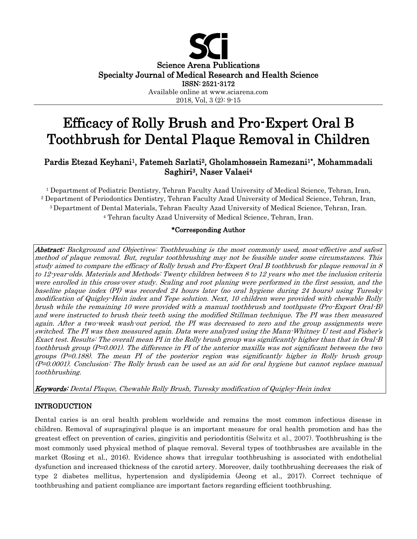

# Efficacy of Rolly Brush and Pro-Expert Oral B Toothbrush for Dental Plaque Removal in Children

## Pardis Etezad Keyhani<sup>1</sup>, Fatemeh Sarlati<sup>2</sup>, Gholamhossein Ramezani<sup>1\*</sup>, Mohammadali Saghiri3, Naser Valaei<sup>4</sup>

 Department of Pediatric Dentistry, Tehran Faculty Azad University of Medical Science, Tehran, Iran, Department of Periodontics Dentistry, Tehran Faculty Azad University of Medical Science, Tehran, Iran, Department of Dental Materials, Tehran Faculty Azad University of Medical Science, Tehran, Iran. Tehran faculty Azad University of Medical Science, Tehran, Iran.

#### \*Corresponding Author

Abstract: Background and Objectives: Toothbrushing is the most commonly used, most-effective and safest method of plaque removal. But, regular toothbrushing may not be feasible under some circumstances. This study aimed to compare the efficacy of Rolly brush and Pro-Expert Oral B toothbrush for plaque removal in 8 to 12-year-olds. Materials and Methods: Twenty children between 8 to 12 years who met the inclusion criteria were enrolled in this cross-over study. Scaling and root planing were performed in the first session, and the baseline plaque index (PI) was recorded 24 hours later (no oral hygiene during 24 hours) using Turesky modification of Quigley-Hein index and Tepe solution. Next, 10 children were provided with chewable Rolly brush while the remaining 10 were provided with a manual toothbrush and toothpaste (Pro-Export Oral-B) and were instructed to brush their teeth using the modified Stillman technique. The PI was then measured again. After a two-week wash-out period, the PI was decreased to zero and the group assignments were switched. The PI was then measured again. Data were analyzed using the Mann-Whitney U test and Fisher's Exact test. Results: The overall mean PI in the Rolly brush group was significantly higher than that in Oral-B toothbrush group (P=0.001). The difference in PI of the anterior maxilla was not significant between the two groups (P=0.188). The mean PI of the posterior region was significantly higher in Rolly brush group (P=0.0001). Conclusion: The Rolly brush can be used as an aid for oral hygiene but cannot replace manual toothbrushing.

Keywords: Dental Plaque, Chewable Rolly Brush, Turesky modification of Quigley-Hein index

## INTRODUCTION

Dental caries is an oral health problem worldwide and remains the most common infectious disease in children. Removal of supragingival plaque is an important measure for oral health promotion and has the greatest effect on prevention of caries, gingivitis and periodontitis (Selwitz et al., 2007). Toothbrushing is the most commonly used physical method of plaque removal. Several types of toothbrushes are available in the market (Rosing et al., 2016). Evidence shows that irregular toothbrushing is associated with endothelial dysfunction and increased thickness of the carotid artery. Moreover, daily toothbrushing decreases the risk of type 2 diabetes mellitus, hypertension and dyslipidemia (Jeong et al., 2017). Correct technique of toothbrushing and patient compliance are important factors regarding efficient toothbrushing.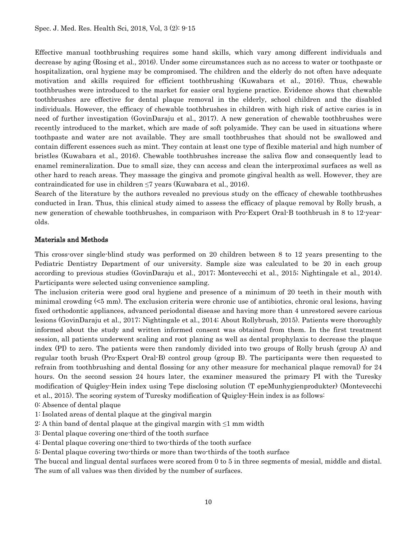Effective manual toothbrushing requires some hand skills, which vary among different individuals and decrease by aging (Rosing et al., 2016). Under some circumstances such as no access to water or toothpaste or hospitalization, oral hygiene may be compromised. The children and the elderly do not often have adequate motivation and skills required for efficient toothbrushing (Kuwabara et al., 2016). Thus, chewable toothbrushes were introduced to the market for easier oral hygiene practice. Evidence shows that chewable toothbrushes are effective for dental plaque removal in the elderly, school children and the disabled individuals. However, the efficacy of chewable toothbrushes in children with high risk of active caries is in need of further investigation (GovinDaraju et al., 2017). A new generation of chewable toothbrushes were recently introduced to the market, which are made of soft polyamide. They can be used in situations where toothpaste and water are not available. They are small toothbrushes that should not be swallowed and contain different essences such as mint. They contain at least one type of flexible material and high number of bristles (Kuwabara et al., 2016). Chewable toothbrushes increase the saliva flow and consequently lead to enamel remineralization. Due to small size, they can access and clean the interproximal surfaces as well as other hard to reach areas. They massage the gingiva and promote gingival health as well. However, they are contraindicated for use in children  $\leq 7$  years (Kuwabara et al., 2016).

Search of the literature by the authors revealed no previous study on the efficacy of chewable toothbrushes conducted in Iran. Thus, this clinical study aimed to assess the efficacy of plaque removal by Rolly brush, a new generation of chewable toothbrushes, in comparison with Pro-Expert Oral-B toothbrush in 8 to 12-yearolds.

#### Materials and Methods

This cross-over single-blind study was performed on 20 children between 8 to 12 years presenting to the Pediatric Dentistry Department of our university. Sample size was calculated to be 20 in each group according to previous studies (GovinDaraju et al., 2017; Montevecchi et al., 2015; Nightingale et al., 2014). Participants were selected using convenience sampling.

The inclusion criteria were good oral hygiene and presence of a minimum of 20 teeth in their mouth with minimal crowding (<5 mm). The exclusion criteria were chronic use of antibiotics, chronic oral lesions, having fixed orthodontic appliances, advanced periodontal disease and having more than 4 unrestored severe carious lesions (GovinDaraju et al., 2017; Nightingale et al., 2014; About Rollybrush, 2015). Patients were thoroughly informed about the study and written informed consent was obtained from them. In the first treatment session, all patients underwent scaling and root planing as well as dental prophylaxis to decrease the plaque index (PI) to zero. The patients were then randomly divided into two groups of Rolly brush (group A) and regular tooth brush (Pro-Expert Oral-B) control group (group B). The participants were then requested to refrain from toothbrushing and dental flossing (or any other measure for mechanical plaque removal) for 24 hours. On the second session 24 hours later, the examiner measured the primary PI with the Turesky modification of Quigley-Hein index using Tepe disclosing solution (T epeMunhygienprodukter) (Montevecchi et al., 2015). The scoring system of Turesky modification of Quigley-Hein index is as follows:

0: Absence of dental plaque

1: Isolated areas of dental plaque at the gingival margin

2: A thin band of dental plaque at the gingival margin with  $\leq 1$  mm width

3: Dental plaque covering one-third of the tooth surface

4: Dental plaque covering one-third to two-thirds of the tooth surface

5: Dental plaque covering two-thirds or more than two-thirds of the tooth surface

The buccal and lingual dental surfaces were scored from 0 to 5 in three segments of mesial, middle and distal. The sum of all values was then divided by the number of surfaces.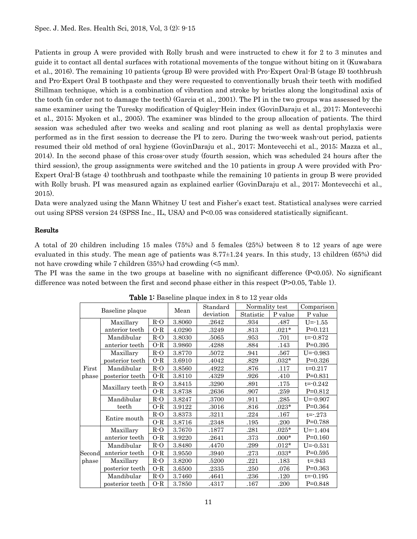Patients in group A were provided with Rolly brush and were instructed to chew it for 2 to 3 minutes and guide it to contact all dental surfaces with rotational movements of the tongue without biting on it (Kuwabara et al., 2016). The remaining 10 patients (group B) were provided with Pro-Expert Oral-B (stage B) toothbrush and Pro-Expert Oral B toothpaste and they were requested to conventionally brush their teeth with modified Stillman technique, which is a combination of vibration and stroke by bristles along the longitudinal axis of the tooth (in order not to damage the teeth) (Garcia et al., 2001). The PI in the two groups was assessed by the same examiner using the Turesky modification of Quigley-Hein index (GovinDaraju et al., 2017; Montevecchi et al., 2015; Myoken et al., 2005). The examiner was blinded to the group allocation of patients. The third session was scheduled after two weeks and scaling and root planing as well as dental prophylaxis were performed as in the first session to decrease the PI to zero. During the two-week wash-out period, patients resumed their old method of oral hygiene (GovinDaraju et al., 2017; Montevecchi et al., 2015; Mazza et al., 2014). In the second phase of this cross-over study (fourth session, which was scheduled 24 hours after the third session), the group assignments were switched and the 10 patients in group A were provided with Pro-Expert Oral-B (stage 4) toothbrush and toothpaste while the remaining 10 patients in group B were provided with Rolly brush. PI was measured again as explained earlier (GovinDaraju et al., 2017; Montevecchi et al., 2015).

Data were analyzed using the Mann Whitney U test and Fisher's exact test. Statistical analyses were carried out using SPSS version 24 (SPSS Inc., IL, USA) and P<0.05 was considered statistically significant.

#### Results

A total of 20 children including 15 males (75%) and 5 females (25%) between 8 to 12 years of age were evaluated in this study. The mean age of patients was 8.77±1.24 years. In this study, 13 children (65%) did not have crowding while 7 children (35%) had crowding (<5 mm).

The PI was the same in the two groups at baseline with no significant difference (P<0.05). No significant difference was noted between the first and second phase either in this respect (P>0.05, Table 1).

| Baseline plaque |                 |       | Mean   | Standard  | Normality test |         | Comparison   |
|-----------------|-----------------|-------|--------|-----------|----------------|---------|--------------|
|                 |                 |       |        | deviation | Statistic      | P value | P value      |
|                 | Maxillary       | $R-O$ | 3.8060 | .2642     | .934           | .487    | $U = -1.55$  |
|                 | anterior teeth  | $O-R$ | 4.0290 | .3249     | .813           | $.021*$ | $P=0.121$    |
|                 | Mandibular      | $R-O$ | 3.8030 | .5065     | .953           | .701    | $t = -0.872$ |
|                 | anterior teeth  | $O-R$ | 3.9860 | .4288     | .884           | .143    | $P=0.395$    |
|                 | Maxillary       | $R-O$ | 3.8770 | .5072     | .941           | .567    | $U = -0.983$ |
|                 | posterior teeth | $O-R$ | 3.6910 | .4042     | .829           | $.032*$ | $P=0.326$    |
| First           | Mandibular      | $R-O$ | 3.8560 | .4922     | .876           | .117    | $t=0.217$    |
| phase           | posterior teeth | $O-R$ | 3.8110 | .4329     | .926           | .410    | $P = 0.831$  |
|                 | Maxillary teeth | $R-O$ | 3.8415 | .3290     | .891           | .175    | $t = -0.242$ |
|                 |                 | $O-R$ | 3.8738 | .2636     | .907           | .259    | $P=0.812$    |
|                 | Mandibular      | $R-O$ | 3.8247 | .3700     | .911           | .285    | $U = -0.907$ |
|                 | teeth           | $O-R$ | 3.9122 | .3016     | .816           | $.023*$ | $P=0.364$    |
|                 | Entire mouth    | $R-O$ | 3.8373 | .3211     | .224           | .167    | $t = -273$   |
|                 |                 | $O-R$ | 3.8716 | .2348     | .195           | .200    | $P=0.788$    |
|                 | Maxillary       | $R-O$ | 3.7670 | .1877     | .281           | $.025*$ | $U = -1.404$ |
|                 | anterior teeth  | $O-R$ | 3.9220 | .2641     | .373           | $.000*$ | $P=0.160$    |
|                 | Mandibular      | $R-O$ | 3.8480 | .4470     | .299           | $.012*$ | $U = -0.531$ |
| $\rm Second$    | anterior teeth  | $O-R$ | 3.9550 | .3940     | .273           | $.033*$ | $P=0.595$    |
| phase           | Maxillary       | $R-O$ | 3.8200 | .5200     | .221           | .183    | $t = 0.943$  |
|                 | posterior teeth | $O-R$ | 3.6500 | .2335     | .250           | .076    | $P=0.363$    |
|                 | Mandibular      | $R-O$ | 3.7460 | .4641     | $.236\,$       | .120    | $t = -0.195$ |
|                 | posterior teeth | $O-R$ | 3.7850 | .4317     | .167           | .200    | $P=0.848$    |

Table 1: Baseline plaque index in 8 to 12 year olds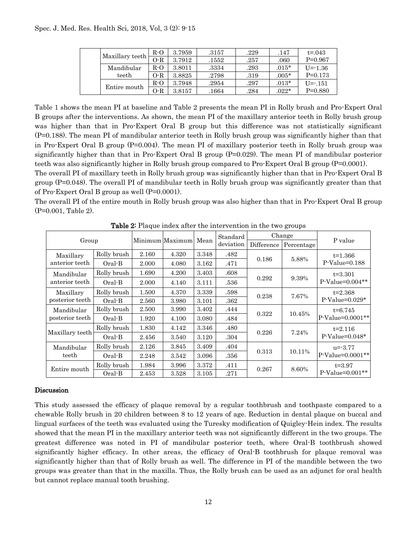| Maxillary teeth |              | R-O    | 3.7959 | .3157 | .229 | .147      | $t = 0.043$ |
|-----------------|--------------|--------|--------|-------|------|-----------|-------------|
|                 | $O-R$        | 3.7912 | .1552  | .257  | .060 | $P=0.967$ |             |
|                 | Mandibular   | R-O    | 3.8011 | .3334 | .293 | $.015*$   | $U = -1.36$ |
|                 | teeth        | )-R    | 3.8825 | .2798 | .319 | $.005*$   | $P=0.173$   |
|                 |              | R-O    | 3.7948 | .2954 | .297 | $.013*$   | $U = -151$  |
|                 | Entire mouth | )-R    | 3.8157 | .1664 | .284 | $.022*$   | $P=0.880$   |

Table 1 shows the mean PI at baseline and Table 2 presents the mean PI in Rolly brush and Pro-Expert Oral B groups after the interventions. As shown, the mean PI of the maxillary anterior teeth in Rolly brush group was higher than that in Pro-Expert Oral B group but this difference was not statistically significant (P=0.188). The mean PI of mandibular anterior teeth in Rolly brush group was significantly higher than that in Pro-Expert Oral B group (P=0.004). The mean PI of maxillary posterior teeth in Rolly brush group was significantly higher than that in Pro-Expert Oral B group (P=0.029). The mean PI of mandibular posterior teeth was also significantly higher in Rolly brush group compared to Pro-Expert Oral B group (P=0.0001).

The overall PI of maxillary teeth in Rolly brush group was significantly higher than that in Pro-Expert Oral B group (P=0.048). The overall PI of mandibular teeth in Rolly brush group was significantly greater than that of Pro-Expert Oral B group as well (P=0.0001).

The overall PI of the entire mouth in Rolly brush group was also higher than that in Pro-Expert Oral B group (P=0.001, Table 2).

| Group                        |             |       | Minimum Maximum Mean |       | Standard<br>deviation | Change     |            |                                         |
|------------------------------|-------------|-------|----------------------|-------|-----------------------|------------|------------|-----------------------------------------|
|                              |             |       |                      |       |                       | Difference | Percentage | P value                                 |
| Maxillary<br>anterior teeth  | Rolly brush | 2.160 | 4.320                | 3.348 | .482                  | 0.186      | 5.88%      | $t=1.366$                               |
|                              | $Oral-B$    | 2.000 | 4.080                | 3.162 | .471                  |            |            | $P\text{-Value=0.188}$                  |
| Mandibular<br>anterior teeth | Rolly brush | 1.690 | 4.200                | 3.403 | .608                  | 0.292      | 9.39%      | $t = 3.301$<br>$P\text{-Value=0.004**}$ |
|                              | $Oral-B$    | 2.000 | 4.140                | 3.111 | .536                  |            |            |                                         |
| Maxillary<br>posterior teeth | Rolly brush | 1.500 | 4.370                | 3.339 | .598                  | 0.238      | 7.67%      | $t = 2.368$<br>$P\text{-Value=0.029*}$  |
|                              | $Oral-B$    | 2.560 | 3.980                | 3.101 | .362                  |            |            |                                         |
| Mandibular                   | Rolly brush | 2.500 | 3.990                | 3.402 | .444                  | 0.322      | 10.45%     | $t = 6.745$<br>$P-Value=0.0001**$       |
| posterior teeth              | $Oral-B$    | 1.920 | 4.100                | 3.080 | .484                  |            |            |                                         |
|                              | Rolly brush | 1.830 | 4.142                | 3.346 | .480                  | 0.226      | 7.24%      | $t = 2.116$                             |
| Maxillary teeth              | $Oral-B$    | 2.456 | 3.540                | 3.120 | .304                  |            |            | $P\text{-Value=0.048*}$                 |
| Mandibular<br>teeth          | Rolly brush | 2.126 | 3.845                | 3.409 | .404                  | 0.313      | 10.11%     | $u = -3.77$                             |
|                              | $Oral-B$    | 2.248 | 3.542                | 3.096 | .356                  |            |            | $P-Value=0.0001**$                      |
| Entire mouth                 | Rolly brush | 1.984 | 3.996                | 3.372 | .411                  | 0.267      | 8.60%      | $t = 3.97$                              |
|                              | Oral-B      | 2.453 | 3.528                | 3.105 | .271                  |            |            | $P\text{-Value=0.001**}$                |

**Table 2:** Plaque index after the intervention in the two groups

#### Discussion

This study assessed the efficacy of plaque removal by a regular toothbrush and toothpaste compared to a chewable Rolly brush in 20 children between 8 to 12 years of age. Reduction in dental plaque on buccal and lingual surfaces of the teeth was evaluated using the Turesky modification of Quigley-Hein index. The results showed that the mean PI in the maxillary anterior teeth was not significantly different in the two groups. The greatest difference was noted in PI of mandibular posterior teeth, where Oral-B toothbrush showed significantly higher efficacy. In other areas, the efficacy of Oral-B toothbrush for plaque removal was significantly higher than that of Rolly brush as well. The difference in PI of the mandible between the two groups was greater than that in the maxilla. Thus, the Rolly brush can be used as an adjunct for oral health but cannot replace manual tooth brushing.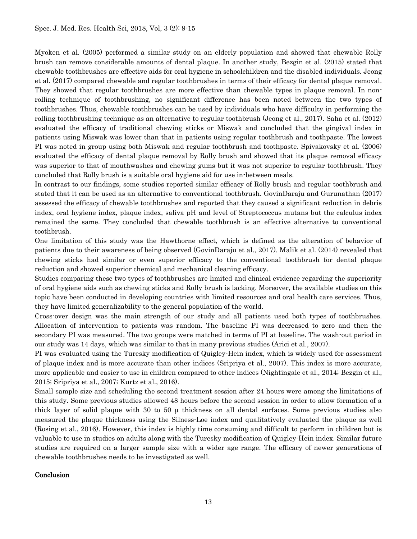#### Spec. J. Med. Res. Health Sci, 2018, Vol, 3 (2): 9-15

Myoken et al. (2005) performed a similar study on an elderly population and showed that chewable Rolly brush can remove considerable amounts of dental plaque. In another study, Bezgin et al. (2015) stated that chewable toothbrushes are effective aids for oral hygiene in schoolchildren and the disabled individuals. Jeong et al. (2017) compared chewable and regular toothbrushes in terms of their efficacy for dental plaque removal. They showed that regular toothbrushes are more effective than chewable types in plaque removal. In nonrolling technique of toothbrushing, no significant difference has been noted between the two types of toothbrushes. Thus, chewable toothbrushes can be used by individuals who have difficulty in performing the rolling toothbrushing technique as an alternative to regular toothbrush (Jeong et al., 2017). Saha et al. (2012) evaluated the efficacy of traditional chewing sticks or Miswak and concluded that the gingival index in patients using Miswak was lower than that in patients using regular toothbrush and toothpaste. The lowest PI was noted in group using both Miswak and regular toothbrush and toothpaste. Spivakovsky et al. (2006) evaluated the efficacy of dental plaque removal by Rolly brush and showed that its plaque removal efficacy was superior to that of mouthwashes and chewing gums but it was not superior to regular toothbrush. They concluded that Rolly brush is a suitable oral hygiene aid for use in-between meals.

In contrast to our findings, some studies reported similar efficacy of Rolly brush and regular toothbrush and stated that it can be used as an alternative to conventional toothbrush. GovinDaraju and Gurunathan (2017) assessed the efficacy of chewable toothbrushes and reported that they caused a significant reduction in debris index, oral hygiene index, plaque index, saliva pH and level of Streptococcus mutans but the calculus index remained the same. They concluded that chewable toothbrush is an effective alternative to conventional toothbrush.

One limitation of this study was the Hawthorne effect, which is defined as the alteration of behavior of patients due to their awareness of being observed (GovinDaraju et al., 2017). Malik et al. (2014) revealed that chewing sticks had similar or even superior efficacy to the conventional toothbrush for dental plaque reduction and showed superior chemical and mechanical cleaning efficacy.

Studies comparing these two types of toothbrushes are limited and clinical evidence regarding the superiority of oral hygiene aids such as chewing sticks and Rolly brush is lacking. Moreover, the available studies on this topic have been conducted in developing countries with limited resources and oral health care services. Thus, they have limited generalizability to the general population of the world.

Cross-over design was the main strength of our study and all patients used both types of toothbrushes. Allocation of intervention to patients was random. The baseline PI was decreased to zero and then the secondary PI was measured. The two groups were matched in terms of PI at baseline. The wash-out period in our study was 14 days, which was similar to that in many previous studies (Arici et al., 2007).

PI was evaluated using the Turesky modification of Quigley-Hein index, which is widely used for assessment of plaque index and is more accurate than other indices (Sripriya et al., 2007). This index is more accurate, more applicable and easier to use in children compared to other indices (Nightingale et al., 2014; Bezgin et al., 2015; Sripriya et al., 2007; Kurtz et al., 2016).

Small sample size and scheduling the second treatment session after 24 hours were among the limitations of this study. Some previous studies allowed 48 hours before the second session in order to allow formation of a thick layer of solid plaque with 30 to 50  $\mu$  thickness on all dental surfaces. Some previous studies also measured the plaque thickness using the Silness-Loe index and qualitatively evaluated the plaque as well (Rosing et al., 2016). However, this index is highly time consuming and difficult to perform in children but is valuable to use in studies on adults along with the Turesky modification of Quigley-Hein index. Similar future studies are required on a larger sample size with a wider age range. The efficacy of newer generations of chewable toothbrushes needs to be investigated as well.

#### Conclusion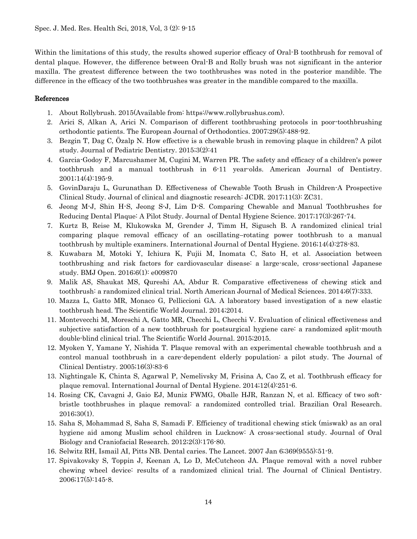Within the limitations of this study, the results showed superior efficacy of Oral-B toothbrush for removal of dental plaque. However, the difference between Oral-B and Rolly brush was not significant in the anterior maxilla. The greatest difference between the two toothbrushes was noted in the posterior mandible. The difference in the efficacy of the two toothbrushes was greater in the mandible compared to the maxilla.

### References

- 1. About Rollybrush. 2015(Available from: https://www.rollybrushus.com).
- 2. Arici S, Alkan A, Arici N. Comparison of different toothbrushing protocols in poor-toothbrushing orthodontic patients. The European Journal of Orthodontics. 2007;29(5):488-92.
- 3. Bezgin T, Dag C, Özalp N. How effective is a chewable brush in removing plaque in children? A pilot study. Journal of Pediatric Dentistry. 2015;3(2):41
- 4. Garcia-Godoy F, Marcushamer M, Cugini M, Warren PR. The safety and efficacy of a children's power toothbrush and a manual toothbrush in 6-11 year-olds. American Journal of Dentistry. 2001;14(4):195-9.
- 5. GovinDaraju L, Gurunathan D. Effectiveness of Chewable Tooth Brush in Children-A Prospective Clinical Study. Journal of clinical and diagnostic research: JCDR. 2017;11(3): ZC31.
- 6. Jeong M-J, Shin H-S, Jeong S-J, Lim D-S. Comparing Chewable and Manual Toothbrushes for Reducing Dental Plaque: A Pilot Study. Journal of Dental Hygiene Science. 2017;17(3):267-74.
- 7. Kurtz B, Reise M, Klukowska M, Grender J, Timm H, Sigusch B. A randomized clinical trial comparing plaque removal efficacy of an oscillating–rotating power toothbrush to a manual toothbrush by multiple examiners. International Journal of Dental Hygiene. 2016;14(4):278-83.
- 8. Kuwabara M, Motoki Y, Ichiura K, Fujii M, Inomata C, Sato H, et al. Association between toothbrushing and risk factors for cardiovascular disease: a large-scale, cross-sectional Japanese study. BMJ Open. 2016;6(1): e009870
- 9. Malik AS, Shaukat MS, Qureshi AA, Abdur R. Comparative effectiveness of chewing stick and toothbrush: a randomized clinical trial. North American Journal of Medical Sciences. 2014;6(7):333.
- 10. Mazza L, Gatto MR, Monaco G, Pelliccioni GA. A laboratory based investigation of a new elastic toothbrush head. The Scientific World Journal. 2014;2014.
- 11. Montevecchi M, Moreschi A, Gatto MR, Checchi L, Checchi V. Evaluation of clinical effectiveness and subjective satisfaction of a new toothbrush for postsurgical hygiene care: a randomized split-mouth double-blind clinical trial. The Scientific World Journal. 2015;2015.
- 12. Myoken Y, Yamane Y, Nishida T. Plaque removal with an experimental chewable toothbrush and a control manual toothbrush in a care-dependent elderly population: a pilot study. The Journal of Clinical Dentistry. 2005;16(3):83-6
- 13. Nightingale K, Chinta S, Agarwal P, Nemelivsky M, Frisina A, Cao Z, et al. Toothbrush efficacy for plaque removal. International Journal of Dental Hygiene. 2014;12(4):251-6.
- 14. Rosing CK, Cavagni J, Gaio EJ, Muniz FWMG, Oballe HJR, Ranzan N, et al. Efficacy of two softbristle toothbrushes in plaque removal: a randomized controlled trial. Brazilian Oral Research. 2016;30(1).
- 15. Saha S, Mohammad S, Saha S, Samadi F. Efficiency of traditional chewing stick (miswak) as an oral hygiene aid among Muslim school children in Lucknow: A cross-sectional study. Journal of Oral Biology and Craniofacial Research. 2012;2(3):176-80.
- 16. Selwitz RH, Ismail AI, Pitts NB. Dental caries. The Lancet. 2007 Jan 6;369(9555):51-9.
- 17. Spivakovsky S, Toppin J, Keenan A, Lo D, McCutcheon JA. Plaque removal with a novel rubber chewing wheel device: results of a randomized clinical trial. The Journal of Clinical Dentistry. 2006;17(5):145-8.